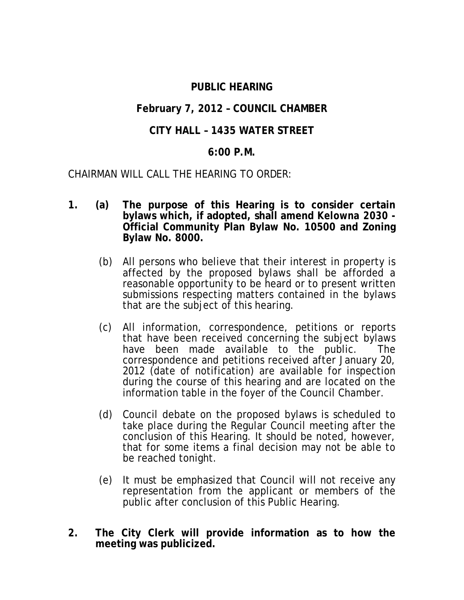## **PUBLIC HEARING**

## **February 7, 2012 – COUNCIL CHAMBER**

# **CITY HALL – 1435 WATER STREET**

### **6:00 P.M.**

CHAIRMAN WILL CALL THE HEARING TO ORDER:

- **1. (a) The purpose of this Hearing is to consider certain bylaws which, if adopted, shall amend** *Kelowna 2030* **- Official Community Plan Bylaw No. 10500 and Zoning Bylaw No. 8000.**
	- (b) All persons who believe that their interest in property is affected by the proposed bylaws shall be afforded a reasonable opportunity to be heard or to present written submissions respecting matters contained in the bylaws that are the subject of this hearing.
	- (c) All information, correspondence, petitions or reports that have been received concerning the subject bylaws have been made available to the public. The correspondence and petitions received after January 20, 2012 (date of notification) are available for inspection during the course of this hearing and are located on the information table in the foyer of the Council Chamber.
	- (d) Council debate on the proposed bylaws is scheduled to take place during the Regular Council meeting after the conclusion of this Hearing. It should be noted, however, that for some items a final decision may not be able to be reached tonight.
	- (e) It must be emphasized that Council will not receive any representation from the applicant or members of the public after conclusion of this Public Hearing.
- **2. The City Clerk will provide information as to how the meeting was publicized.**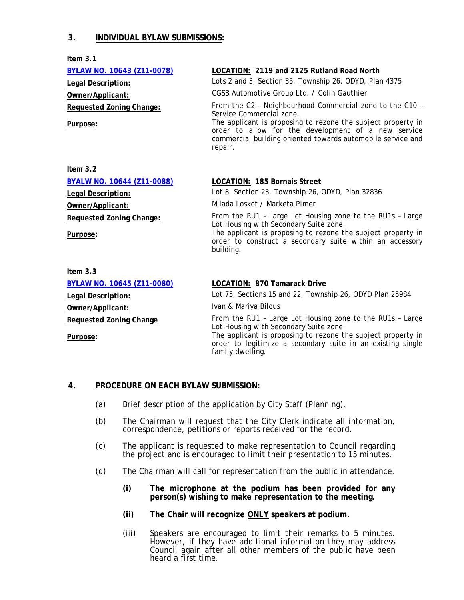### **3. INDIVIDUAL BYLAW SUBMISSIONS:**

**Item 3.1**

| <b>BYLAW NO. 10643 (Z11-0078)</b> | LOCATION: 2119 and 2125 Rutland Road North                                                                                                                                                                                |
|-----------------------------------|---------------------------------------------------------------------------------------------------------------------------------------------------------------------------------------------------------------------------|
| Legal Description:                | Lots 2 and 3, Section 35, Township 26, ODYD, Plan 4375                                                                                                                                                                    |
| Owner/Applicant:                  | CGSB Automotive Group Ltd. / Colin Gauthier                                                                                                                                                                               |
| <b>Requested Zoning Change:</b>   | From the C2 - Neighbourhood Commercial zone to the C10 -                                                                                                                                                                  |
| Purpose:                          | Service Commercial zone.<br>The applicant is proposing to rezone the subject property in<br>order to allow for the development of a new service<br>commercial building oriented towards automobile service and<br>repair. |
| Item $3.2$                        |                                                                                                                                                                                                                           |
| <b>BYALW NO. 10644 (Z11-0088)</b> | LOCATION: 185 Bornais Street                                                                                                                                                                                              |
| Legal Description:                | Lot 8, Section 23, Township 26, ODYD, Plan 32836                                                                                                                                                                          |
| Owner/Applicant:                  | Milada Loskot / Marketa Pimer                                                                                                                                                                                             |
| Requested Zoning Change:          | From the RU1 - Large Lot Housing zone to the RU1s - Large                                                                                                                                                                 |
| Purpose:                          | Lot Housing with Secondary Suite zone.<br>The applicant is proposing to rezone the subject property in<br>order to construct a secondary suite within an accessory<br>building.                                           |
| Item $3.3$                        |                                                                                                                                                                                                                           |
| <b>BYLAW NO. 10645 (Z11-0080)</b> | LOCATION: 870 Tamarack Drive                                                                                                                                                                                              |
| Legal Description:                | Lot 75, Sections 15 and 22, Township 26, ODYD Plan 25984                                                                                                                                                                  |
| Owner/Applicant:                  | Ivan & Mariya Bilous                                                                                                                                                                                                      |
| <b>Requested Zoning Change</b>    | From the RU1 - Large Lot Housing zone to the RU1s - Large<br>Lot Housing with Secondary Suite zone.                                                                                                                       |
| Purpose:                          | The applicant is proposing to rezone the subject property in<br>order to legitimize a secondary suite in an existing single                                                                                               |

### **4. PROCEDURE ON EACH BYLAW SUBMISSION:**

- (a) Brief description of the application by City Staff (Planning).
- (b) The Chairman will request that the City Clerk indicate all information, correspondence, petitions or reports received for the record.

family dwelling.

- (c) The applicant is requested to make representation to Council regarding the project and is encouraged to limit their presentation to 15 minutes.
- (d) The Chairman will call for representation from the public in attendance.
	- **(i) The microphone at the podium has been provided for any person(s) wishing to make representation to the meeting.**
	- **(ii) The Chair will recognize ONLY speakers at podium.**
	- (iii) Speakers are encouraged to limit their remarks to 5 minutes. However, if they have additional information they may address Council again after all other members of the public have been heard a first time.